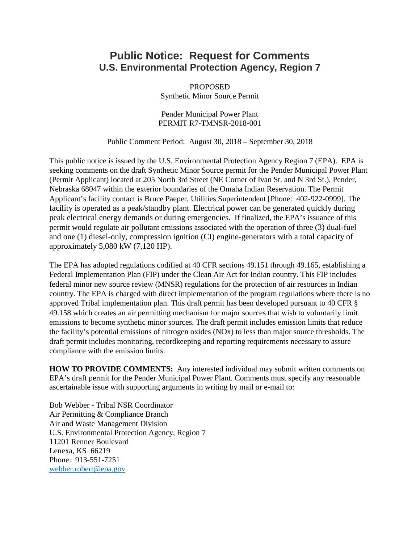## **Public Notice: Request for Comments U.S. Environmental Protection Agency, Region 7**

PROPOSED Synthetic Minor Source Permit

Pender Municipal Power Plant PERMIT R7-TMNSR-2018-001

Public Comment Period: August 30, 2018 – September 30, 2018

This public notice is issued by the U.S. Environmental Protection Agency Region 7 (EPA). EPA is seeking comments on the draft Synthetic Minor Source permit for the Pender Municipal Power Plant (Permit Applicant) located at 205 North 3rd Street (NE Corner of Ivan St. and N 3rd St.), Pender, Nebraska 68047 within the exterior boundaries of the Omaha Indian Reservation. The Permit Applicant's facility contact is Bruce Paeper, Utilities Superintendent [Phone: 402-922-0999]. The facility is operated as a peak/standby plant. Electrical power can be generated quickly during peak electrical energy demands or during emergencies. If finalized, the EPA's issuance of this permit would regulate air pollutant emissions associated with the operation of three (3) dual-fuel and one (1) diesel-only, compression ignition (CI) engine-generators with a total capacity of approximately 5,080 kW (7,120 HP).

The EPA has adopted regulations codified at 40 CFR sections 49.151 through 49.165, establishing a Federal Implementation Plan (FIP) under the Clean Air Act for Indian country. This FIP includes federal minor new source review (MNSR) regulations for the protection of air resources in Indian country. The EPA is charged with direct implementation of the program regulations where there is no approved Tribal implementation plan. This draft permit has been developed pursuant to 40 CFR § 49.158 which creates an air permitting mechanism for major sources that wish to voluntarily limit emissions to become synthetic minor sources. The draft permit includes emission limits that reduce the facility's potential emissions of nitrogen oxides (NOx) to less than major source thresholds. The draft permit includes monitoring, recordkeeping and reporting requirements necessary to assure compliance with the emission limits.

**HOW TO PROVIDE COMMENTS:** Any interested individual may submit written comments on EPA's draft permit for the Pender Municipal Power Plant. Comments must specify any reasonable ascertainable issue with supporting arguments in writing by mail or e-mail to:

Bob Webber - Tribal NSR Coordinator Air Permitting & Compliance Branch Air and Waste Management Division U.S. Environmental Protection Agency, Region 7 11201 Renner Boulevard Lenexa, KS 66219 Phone: 913-551-7251 [webber.robert@epa.gov](mailto:webber.robert@epa.gov)